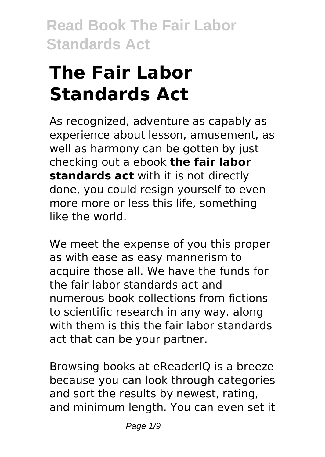# **The Fair Labor Standards Act**

As recognized, adventure as capably as experience about lesson, amusement, as well as harmony can be gotten by just checking out a ebook **the fair labor standards act** with it is not directly done, you could resign yourself to even more more or less this life, something like the world.

We meet the expense of you this proper as with ease as easy mannerism to acquire those all. We have the funds for the fair labor standards act and numerous book collections from fictions to scientific research in any way. along with them is this the fair labor standards act that can be your partner.

Browsing books at eReaderIQ is a breeze because you can look through categories and sort the results by newest, rating, and minimum length. You can even set it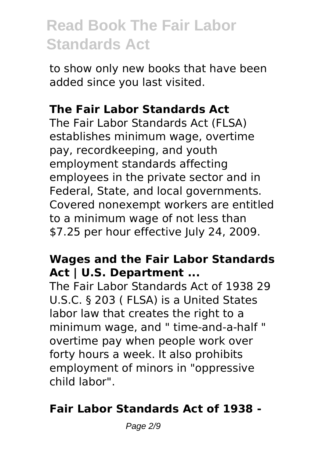to show only new books that have been added since you last visited.

### **The Fair Labor Standards Act**

The Fair Labor Standards Act (FLSA) establishes minimum wage, overtime pay, recordkeeping, and youth employment standards affecting employees in the private sector and in Federal, State, and local governments. Covered nonexempt workers are entitled to a minimum wage of not less than \$7.25 per hour effective July 24, 2009.

### **Wages and the Fair Labor Standards Act | U.S. Department ...**

The Fair Labor Standards Act of 1938 29 U.S.C. § 203 ( FLSA) is a United States labor law that creates the right to a minimum wage, and " time-and-a-half " overtime pay when people work over forty hours a week. It also prohibits employment of minors in "oppressive child labor".

### **Fair Labor Standards Act of 1938 -**

Page 2/9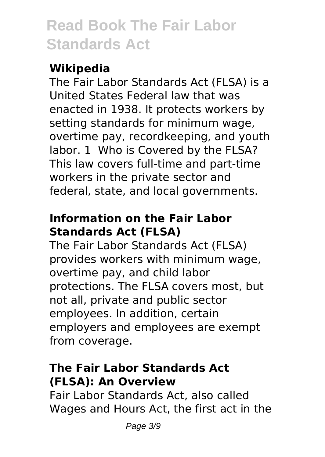### **Wikipedia**

The Fair Labor Standards Act (FLSA) is a United States Federal law that was enacted in 1938. It protects workers by setting standards for minimum wage, overtime pay, recordkeeping, and youth labor. 1 Who is Covered by the FLSA? This law covers full-time and part-time workers in the private sector and federal, state, and local governments.

### **Information on the Fair Labor Standards Act (FLSA)**

The Fair Labor Standards Act (FLSA) provides workers with minimum wage, overtime pay, and child labor protections. The FLSA covers most, but not all, private and public sector employees. In addition, certain employers and employees are exempt from coverage.

### **The Fair Labor Standards Act (FLSA): An Overview**

Fair Labor Standards Act, also called Wages and Hours Act, the first act in the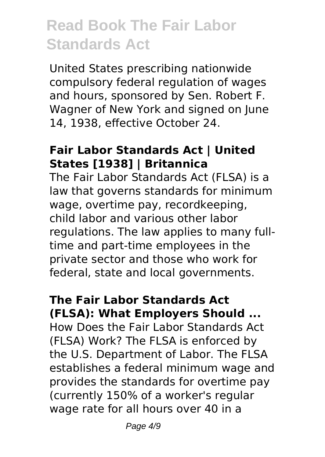United States prescribing nationwide compulsory federal regulation of wages and hours, sponsored by Sen. Robert F. Wagner of New York and signed on June 14, 1938, effective October 24.

#### **Fair Labor Standards Act | United States [1938] | Britannica**

The Fair Labor Standards Act (FLSA) is a law that governs standards for minimum wage, overtime pay, recordkeeping, child labor and various other labor regulations. The law applies to many fulltime and part-time employees in the private sector and those who work for federal, state and local governments.

#### **The Fair Labor Standards Act (FLSA): What Employers Should ...**

How Does the Fair Labor Standards Act (FLSA) Work? The FLSA is enforced by the U.S. Department of Labor. The FLSA establishes a federal minimum wage and provides the standards for overtime pay (currently 150% of a worker's regular wage rate for all hours over 40 in a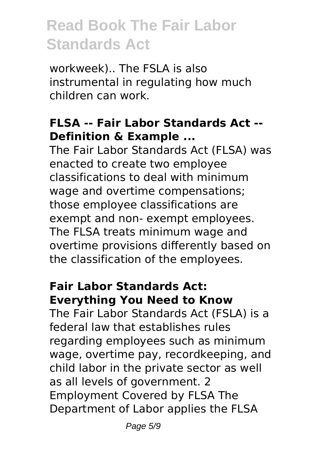workweek).. The FSLA is also instrumental in regulating how much children can work.

### **FLSA -- Fair Labor Standards Act -- Definition & Example ...**

The Fair Labor Standards Act (FLSA) was enacted to create two employee classifications to deal with minimum wage and overtime compensations; those employee classifications are exempt and non- exempt employees. The FLSA treats minimum wage and overtime provisions differently based on the classification of the employees.

#### **Fair Labor Standards Act: Everything You Need to Know**

The Fair Labor Standards Act (FSLA) is a federal law that establishes rules regarding employees such as minimum wage, overtime pay, recordkeeping, and child labor in the private sector as well as all levels of government. 2 Employment Covered by FLSA The Department of Labor applies the FLSA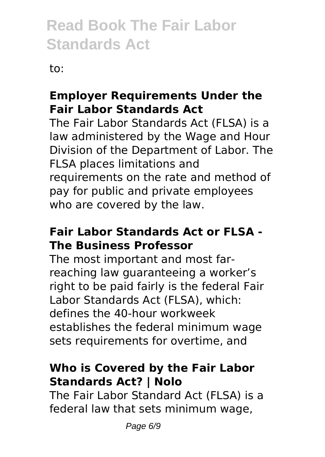to:

### **Employer Requirements Under the Fair Labor Standards Act**

The Fair Labor Standards Act (FLSA) is a law administered by the Wage and Hour Division of the Department of Labor. The FLSA places limitations and requirements on the rate and method of pay for public and private employees who are covered by the law.

### **Fair Labor Standards Act or FLSA - The Business Professor**

The most important and most farreaching law guaranteeing a worker's right to be paid fairly is the federal Fair Labor Standards Act (FLSA), which: defines the 40-hour workweek establishes the federal minimum wage sets requirements for overtime, and

### **Who is Covered by the Fair Labor Standards Act? | Nolo**

The Fair Labor Standard Act (FLSA) is a federal law that sets minimum wage,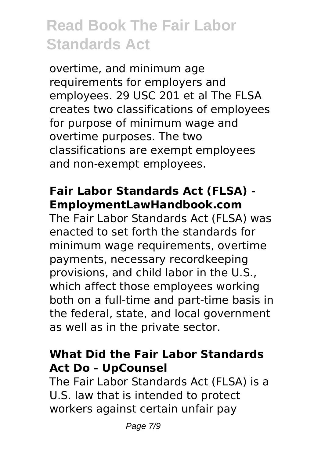overtime, and minimum age requirements for employers and employees. 29 USC 201 et al The FLSA creates two classifications of employees for purpose of minimum wage and overtime purposes. The two classifications are exempt employees and non-exempt employees.

#### **Fair Labor Standards Act (FLSA) - EmploymentLawHandbook.com**

The Fair Labor Standards Act (FLSA) was enacted to set forth the standards for minimum wage requirements, overtime payments, necessary recordkeeping provisions, and child labor in the U.S., which affect those employees working both on a full-time and part-time basis in the federal, state, and local government as well as in the private sector.

#### **What Did the Fair Labor Standards Act Do - UpCounsel**

The Fair Labor Standards Act (FLSA) is a U.S. law that is intended to protect workers against certain unfair pay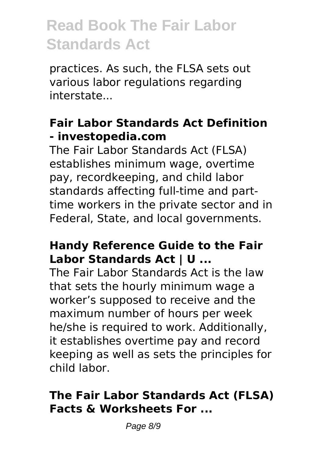practices. As such, the FLSA sets out various labor regulations regarding interstate...

### **Fair Labor Standards Act Definition - investopedia.com**

The Fair Labor Standards Act (FLSA) establishes minimum wage, overtime pay, recordkeeping, and child labor standards affecting full-time and parttime workers in the private sector and in Federal, State, and local governments.

#### **Handy Reference Guide to the Fair Labor Standards Act | U ...**

The Fair Labor Standards Act is the law that sets the hourly minimum wage a worker's supposed to receive and the maximum number of hours per week he/she is required to work. Additionally, it establishes overtime pay and record keeping as well as sets the principles for child labor.

### **The Fair Labor Standards Act (FLSA) Facts & Worksheets For ...**

Page 8/9